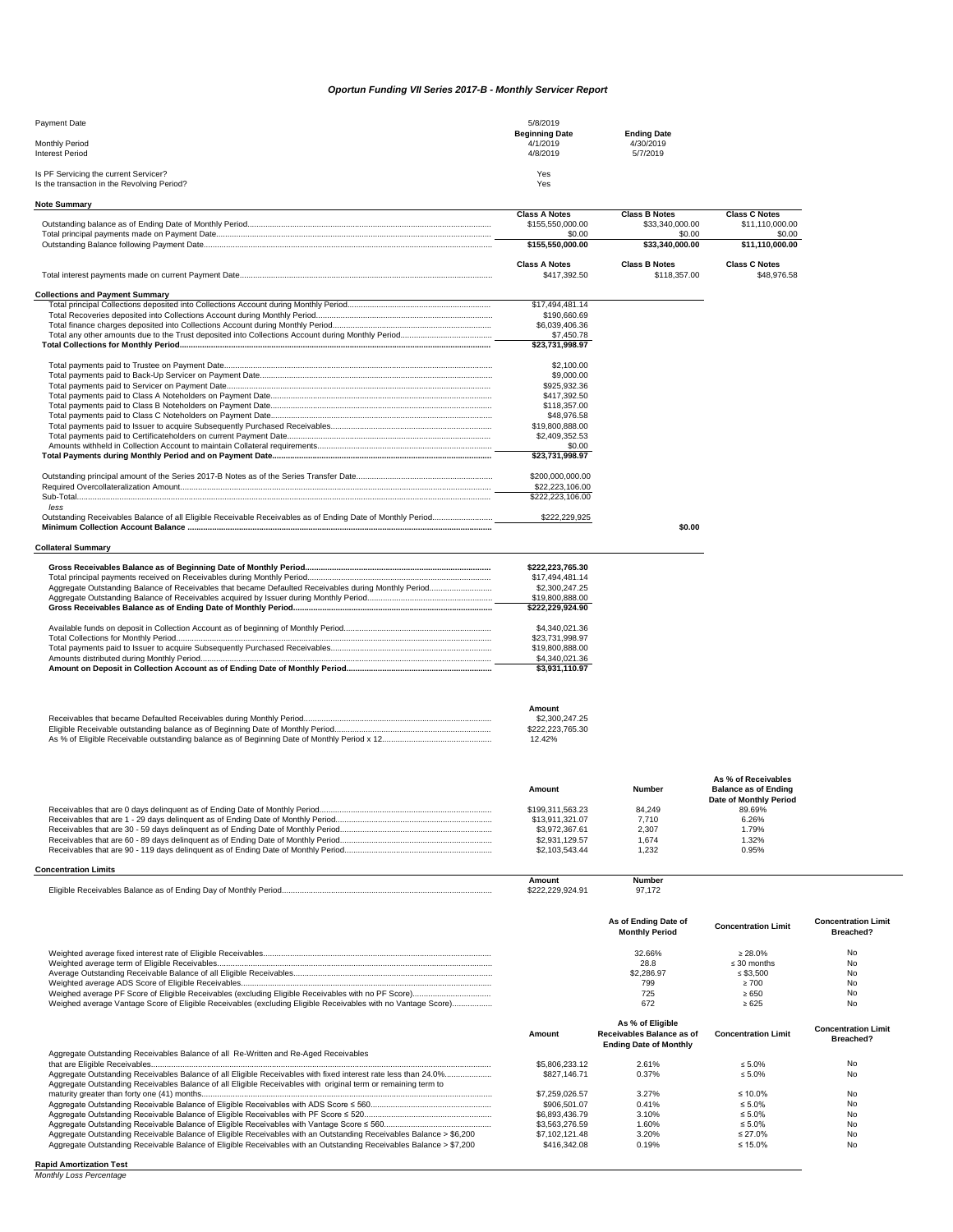| <b>Payment Date</b>                                                                  | 5/8/2019                          |                                 |
|--------------------------------------------------------------------------------------|-----------------------------------|---------------------------------|
| <b>Monthly Period</b>                                                                | <b>Beginning Date</b><br>4/1/2019 | <b>Ending Date</b><br>4/30/2019 |
| <b>Interest Period</b>                                                               | 4/8/2019                          | 5/7/2019                        |
| Is PF Servicing the current Servicer?<br>Is the transaction in the Revolving Period? | Yes<br>Yes                        |                                 |

| <b>Class A Notes</b><br><b>Class B Notes</b><br><b>Class C Notes</b><br>\$155,550,000.00<br>\$33,340,000.00<br>\$0.00<br>\$0.00<br>\$155,550,000.00<br>\$33,340,000.00<br><b>Class C Notes</b><br><b>Class A Notes</b><br><b>Class B Notes</b><br>\$417.392.50<br>\$118,357.00<br>\$17,494,481.14<br>\$190,660,69<br>\$6,039,406.36<br>\$7,450.78<br>$\overline{$23,731,998.97}$<br>\$2,100.00<br>\$9,000.00<br>\$925,932.36<br>\$417,392.50<br>\$118,357.00<br>\$48,976.58<br>\$19,800,888.00<br>\$2,409,352.53<br>\$0.00<br>\$23,731,998.97<br>\$200,000,000.00<br>\$22,223,106.00<br>\$222,223,106.00<br>less | <b>Note Summary</b> |               |                 |
|------------------------------------------------------------------------------------------------------------------------------------------------------------------------------------------------------------------------------------------------------------------------------------------------------------------------------------------------------------------------------------------------------------------------------------------------------------------------------------------------------------------------------------------------------------------------------------------------------------------|---------------------|---------------|-----------------|
| <b>Collections and Payment Summary</b>                                                                                                                                                                                                                                                                                                                                                                                                                                                                                                                                                                           |                     |               |                 |
|                                                                                                                                                                                                                                                                                                                                                                                                                                                                                                                                                                                                                  |                     |               | \$11,110,000.00 |
|                                                                                                                                                                                                                                                                                                                                                                                                                                                                                                                                                                                                                  |                     |               | \$0.00          |
|                                                                                                                                                                                                                                                                                                                                                                                                                                                                                                                                                                                                                  |                     |               | \$11,110,000.00 |
|                                                                                                                                                                                                                                                                                                                                                                                                                                                                                                                                                                                                                  |                     |               |                 |
|                                                                                                                                                                                                                                                                                                                                                                                                                                                                                                                                                                                                                  |                     |               | \$48,976.58     |
|                                                                                                                                                                                                                                                                                                                                                                                                                                                                                                                                                                                                                  |                     |               |                 |
|                                                                                                                                                                                                                                                                                                                                                                                                                                                                                                                                                                                                                  |                     |               |                 |
|                                                                                                                                                                                                                                                                                                                                                                                                                                                                                                                                                                                                                  |                     |               |                 |
|                                                                                                                                                                                                                                                                                                                                                                                                                                                                                                                                                                                                                  |                     |               |                 |
|                                                                                                                                                                                                                                                                                                                                                                                                                                                                                                                                                                                                                  |                     |               |                 |
|                                                                                                                                                                                                                                                                                                                                                                                                                                                                                                                                                                                                                  |                     |               |                 |
|                                                                                                                                                                                                                                                                                                                                                                                                                                                                                                                                                                                                                  |                     |               |                 |
|                                                                                                                                                                                                                                                                                                                                                                                                                                                                                                                                                                                                                  |                     |               |                 |
|                                                                                                                                                                                                                                                                                                                                                                                                                                                                                                                                                                                                                  |                     |               |                 |
|                                                                                                                                                                                                                                                                                                                                                                                                                                                                                                                                                                                                                  |                     |               |                 |
|                                                                                                                                                                                                                                                                                                                                                                                                                                                                                                                                                                                                                  |                     |               |                 |
|                                                                                                                                                                                                                                                                                                                                                                                                                                                                                                                                                                                                                  |                     |               |                 |
|                                                                                                                                                                                                                                                                                                                                                                                                                                                                                                                                                                                                                  |                     |               |                 |
|                                                                                                                                                                                                                                                                                                                                                                                                                                                                                                                                                                                                                  |                     |               |                 |
|                                                                                                                                                                                                                                                                                                                                                                                                                                                                                                                                                                                                                  |                     |               |                 |
|                                                                                                                                                                                                                                                                                                                                                                                                                                                                                                                                                                                                                  |                     |               |                 |
|                                                                                                                                                                                                                                                                                                                                                                                                                                                                                                                                                                                                                  |                     |               |                 |
|                                                                                                                                                                                                                                                                                                                                                                                                                                                                                                                                                                                                                  |                     |               |                 |
|                                                                                                                                                                                                                                                                                                                                                                                                                                                                                                                                                                                                                  |                     |               |                 |
|                                                                                                                                                                                                                                                                                                                                                                                                                                                                                                                                                                                                                  |                     |               |                 |
| \$0.00                                                                                                                                                                                                                                                                                                                                                                                                                                                                                                                                                                                                           |                     | \$222,229,925 |                 |

## **Collateral Summary**

| \$222,223,765.30 |
|------------------|
| \$17.494.481.14  |
| \$2,300,247,25   |
| \$19,800,888.00  |
| \$222.229.924.90 |
| \$4.340.021.36   |
| \$23.731.998.97  |
| \$19,800,888,00  |
| \$4,340,021.36   |
| \$3,931,110.97   |

| Amount           |
|------------------|
| \$2,300,247,25   |
| \$222.223.765.30 |
| 12.42%           |

| Amount |  |  |
|--------|--|--|

**Amount Number**

**As % of Receivables Balance as of Ending** 

|                  |        | Date of Monthly Period |  |
|------------------|--------|------------------------|--|
| \$199.311.563.23 | 84.249 | 89.69%                 |  |
| \$13.911.321.07  | 7.710  | 6.26%                  |  |
| \$3.972.367.61   | 2,307  | .79%                   |  |
| \$2.931.129.57   | .674   | $.32\%$                |  |
| \$2,103,543,44   | .232   | 0.95%                  |  |

## **Concentration Limits**

|                                                                                                              | Amount | <b>Number</b> |
|--------------------------------------------------------------------------------------------------------------|--------|---------------|
| $- \cdot$<br>Monthly<br>ceivables Balance as of '<br>م ھ<br>∵erioa…<br>-Iinihle<br>. ⊔av ∩*<br>: Endina<br>. |        | 97            |

|                                                                                                              | As of Ending Date of<br><b>Monthly Period</b> | <b>Concentration Limit</b> | <b>Concentration Limit</b><br><b>Breached?</b> |
|--------------------------------------------------------------------------------------------------------------|-----------------------------------------------|----------------------------|------------------------------------------------|
|                                                                                                              | 32.66%                                        | $\geq 28.0\%$              | No                                             |
|                                                                                                              | 28.8                                          | $\leq$ 30 months           | No                                             |
|                                                                                                              | \$2,286.97                                    | ≤ \$3.500                  | No                                             |
|                                                                                                              | 799                                           | $\geq 700$                 | No                                             |
|                                                                                                              | 725                                           | $\ge 650$                  | No                                             |
| Weighed average Vantage Score of Eligible Receivables (excluding Eligible Receivables with no Vantage Score) | 672                                           | $\ge 625$                  | No                                             |

|                                                                                                                                                                                                                                 | Amount         | As % of Eligible<br>Receivables Balance as of<br><b>Ending Date of Monthly</b> | <b>Concentration Limit</b> | <b>Concentration Limit</b><br><b>Breached?</b> |
|---------------------------------------------------------------------------------------------------------------------------------------------------------------------------------------------------------------------------------|----------------|--------------------------------------------------------------------------------|----------------------------|------------------------------------------------|
| Aggregate Outstanding Receivables Balance of all Re-Written and Re-Aged Receivables                                                                                                                                             |                |                                                                                |                            |                                                |
|                                                                                                                                                                                                                                 | \$5,806,233,12 | 2.61%                                                                          | $\leq 5.0\%$               | No                                             |
| Aggregate Outstanding Receivables Balance of all Eligible Receivables with fixed interest rate less than 24.0%<br>Aggregate Outstanding Receivables Balance of all Eligible Receivables with original term or remaining term to | \$827.146.71   | 0.37%                                                                          | $\leq 5.0\%$               | No                                             |
|                                                                                                                                                                                                                                 | \$7.259.026.57 | 3.27%                                                                          | ≤ 10.0%                    | No                                             |
|                                                                                                                                                                                                                                 | \$906.501.07   | 0.41%                                                                          | $\leq 5.0\%$               | No                                             |
|                                                                                                                                                                                                                                 | \$6.893.436.79 | 3.10%                                                                          | $\leq 5.0\%$               | No                                             |
|                                                                                                                                                                                                                                 | \$3,563,276,59 | 1.60%                                                                          | $\leq 5.0\%$               | No                                             |
| Aggregate Outstanding Receivable Balance of Eligible Receivables with an Outstanding Receivables Balance > \$6,200                                                                                                              | \$7.102.121.48 | 3.20%                                                                          | $\leq$ 27.0%               | No                                             |
| Aggregate Outstanding Receivable Balance of Eligible Receivables with an Outstanding Receivables Balance > \$7,200                                                                                                              | \$416,342,08   | 0.19%                                                                          | ≤ 15.0%                    | No                                             |

## **Rapid Amortization Test**

*Monthly Loss Percentage*

## *Oportun Funding VII Series 2017-B - Monthly Servicer Report*